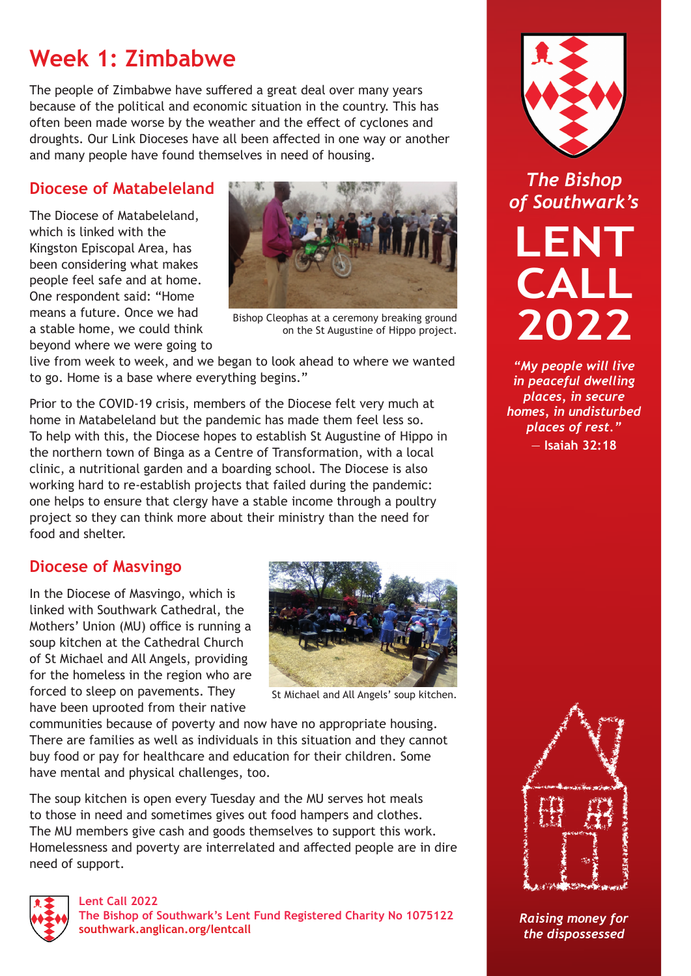# **Week 1: Zimbabwe**

The people of Zimbabwe have suffered a great deal over many years because of the political and economic situation in the country. This has often been made worse by the weather and the effect of cyclones and droughts. Our Link Dioceses have all been affected in one way or another and many people have found themselves in need of housing.

# **Diocese of Matabeleland**

The Diocese of Matabeleland, which is linked with the Kingston Episcopal Area, has been considering what makes people feel safe and at home. One respondent said: "Home means a future. Once we had a stable home, we could think beyond where we were going to



Bishop Cleophas at a ceremony breaking ground on the St Augustine of Hippo project.

live from week to week, and we began to look ahead to where we wanted to go. Home is a base where everything begins."

Prior to the COVID-19 crisis, members of the Diocese felt very much at home in Matabeleland but the pandemic has made them feel less so. To help with this, the Diocese hopes to establish St Augustine of Hippo in the northern town of Binga as a Centre of Transformation, with a local clinic, a nutritional garden and a boarding school. The Diocese is also working hard to re-establish projects that failed during the pandemic: one helps to ensure that clergy have a stable income through a poultry project so they can think more about their ministry than the need for food and shelter.

### **Diocese of Masvingo**

In the Diocese of Masvingo, which is linked with Southwark Cathedral, the Mothers' Union (MU) office is running a soup kitchen at the Cathedral Church of St Michael and All Angels, providing for the homeless in the region who are forced to sleep on pavements. They have been uprooted from their native



St Michael and All Angels' soup kitchen.

communities because of poverty and now have no appropriate housing. There are families as well as individuals in this situation and they cannot buy food or pay for healthcare and education for their children. Some have mental and physical challenges, too.

The soup kitchen is open every Tuesday and the MU serves hot meals to those in need and sometimes gives out food hampers and clothes. The MU members give cash and goods themselves to support this work. Homelessness and poverty are interrelated and affected people are in dire need of support.



**Lent Call 2022 The Bishop of Southwark's Lent Fund Registered Charity No 1075122 [southwark.anglican.org/lentcall](https://southwark.anglican.org/lentcall)**



*The Bishop of Southwark's*

**LENT CALL 2022**

*"My people will live in peaceful dwelling places, in secure homes, in undisturbed places of rest."*  — **Isaiah 32:18**



*Raising money for the dispossessed*